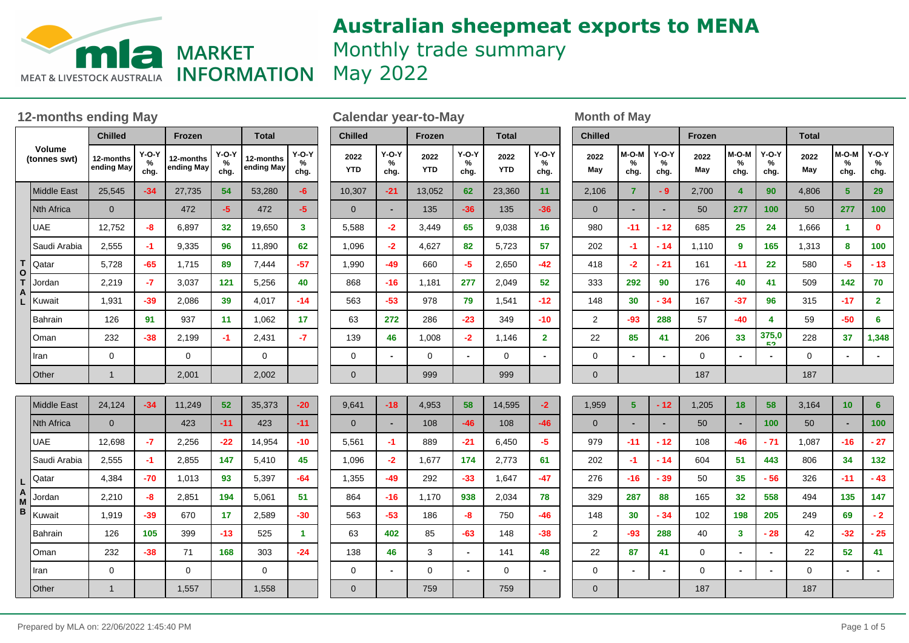

# **Australian sheepmeat exports to MENA** Monthly trade summary **INFORMATION** May 2022

**Chilled**

**2022 M-O-M % chg. May chg.**

2,106 **7 - 9** 0 **- -**

**Y-O-Y %**

**Frozen**

**2022 M-O-M % chg. May chg.**

2,700 **4 90** 50 **277 100**

**Y-O-Y %**

**Total**

**2022 M-O-M % chg. May chg.**

4,806 **5 29** 50 **277 100**

**Y-O-Y %**

### **12-months ending May be a calendar year-to-May be a month of May** be a month of May

|        |                               | <b>Chilled</b>                                  |       | Frozen                  |                      | <b>Total</b>            |                      | <b>Chilled</b> |                    |                          |  |  |
|--------|-------------------------------|-------------------------------------------------|-------|-------------------------|----------------------|-------------------------|----------------------|----------------|--------------------|--------------------------|--|--|
|        | <b>Volume</b><br>(tonnes swt) | $Y-O-Y$<br>12-months<br>%<br>ending May<br>chg. |       | 12-months<br>ending May | $Y-O-Y$<br>%<br>chg. | 12-months<br>ending May | $Y-O-Y$<br>%<br>chg. |                | 2022<br><b>YTD</b> | $Y-O-Y$<br>℅<br>chg.     |  |  |
|        | <b>Middle East</b>            | 25,545                                          | $-34$ | 27,735                  | 54                   | 53,280                  | -6                   |                | 10,307             | $-21$                    |  |  |
|        | <b>Nth Africa</b>             | $\mathbf{0}$                                    |       | 472                     | $-5$                 | 472                     | $-5$                 |                | $\mathbf{0}$       | $\blacksquare$           |  |  |
|        | <b>UAE</b>                    | 12,752                                          | -8    | 6,897                   | 32                   | 19,650                  | 3                    |                | 5,588              | $-2$                     |  |  |
|        | Saudi Arabia                  | 2,555                                           | $-1$  | 9,335                   | 96                   | 11,890                  | 62                   |                | 1,096              | $-2$                     |  |  |
| Т      | Qatar                         | 5,728                                           | $-65$ | 1,715                   | 89                   | 7,444                   | $-57$                |                | 1,990              | -49                      |  |  |
| Ο<br>Т | Jordan                        | 2,219                                           | -7    | 3,037                   | 121                  | 5,256                   | 40                   |                | 868                | $-16$                    |  |  |
| A<br>L | Kuwait                        | 1,931                                           | -39   | 2,086                   | 39                   | 4,017                   | $-14$                |                | 563                | $-53$                    |  |  |
|        | Bahrain                       | 126                                             | 91    | 937                     | 11                   | 1,062                   | 17                   |                | 63                 | 272                      |  |  |
|        | Oman                          | 232                                             | -38   | 2,199                   | -1                   | 2,431                   | -7                   |                | 139                | 46                       |  |  |
|        | Iran                          | 0                                               |       | 0                       |                      | 0                       |                      |                | 0                  | $\overline{\phantom{0}}$ |  |  |
|        | Other                         | $\mathbf{1}$                                    |       | 2,001                   |                      | 2,002                   |                      |                | $\mathbf 0$        |                          |  |  |
|        |                               |                                                 |       |                         |                      |                         |                      |                |                    |                          |  |  |
|        | <b>Middle East</b>            | 24,124<br>$-34$<br>11,249<br>52                 |       | 35,373                  | $-20$                |                         | 9,641                | $-18$          |                    |                          |  |  |
|        | Nth Africa                    | $\mathbf{0}$                                    |       | 423                     | -11                  | 423                     | $-11$                |                | $\mathbf{0}$       |                          |  |  |
|        | <b>UAE</b>                    | 12,698                                          | -7    | 2,256                   | -22                  | 14,954                  | $-10$                |                | 5,561              | $-1$                     |  |  |
|        | Saudi Arabia                  | 2,555                                           | $-1$  | 2,855                   | 147                  | 5,410                   | 45                   |                | 1,096              | $-2$                     |  |  |
| L      | Qatar                         | 4,384                                           | -70   | 1,013                   | 93                   | 5,397                   | $-64$                |                | 1,355              | $-49$                    |  |  |
| A<br>M | Jordan                        | 2,210                                           | -8    | 2,851                   | 194                  | 5,061                   | 51                   |                | 864                | $-16$                    |  |  |
| в      | Kuwait                        | 1,919                                           | -39   | 670                     | 17                   | 2,589                   | -30                  |                | 563                | $-53$                    |  |  |
|        | Bahrain                       | 126                                             | 105   | 399                     | $-13$                | 525                     | 1.                   |                | 63                 | 402                      |  |  |
|        | Oman                          | 232                                             | $-38$ | 71                      | 168                  | 303                     | $-24$                |                | 138                | 46                       |  |  |
|        | Iran                          | 0                                               |       | $\pmb{0}$               |                      | $\mathbf 0$             |                      |                | 0                  | $\overline{\phantom{0}}$ |  |  |
|        | Other                         | $\mathbf{1}$                                    |       | 1,557                   |                      | 1,558                   |                      |                | $\mathbf 0$        |                          |  |  |

| <b>Chilled</b>     |                           | Frozen             |                      | <b>Total</b>       |                      |  |  |  |  |
|--------------------|---------------------------|--------------------|----------------------|--------------------|----------------------|--|--|--|--|
| 2022<br><b>YTD</b> | <b>Y-O-Y</b><br>%<br>chg. | 2022<br><b>YTD</b> | $Y-O-Y$<br>%<br>chg. | 2022<br><b>YTD</b> | $Y-O-Y$<br>%<br>chg. |  |  |  |  |
| 10,307             | $-21$                     | 13,052             | 62                   | 23,360             | 11                   |  |  |  |  |
| $\mathbf 0$        |                           | 135                | $-36$                | 135                | $-36$                |  |  |  |  |
| 5,588              | $-2$                      | 3,449              | 65                   | 9,038              | 16                   |  |  |  |  |
| 1,096              | $-2$                      | 4,627              | 82                   | 5,723              | 57                   |  |  |  |  |
| 1,990              | $-49$                     | 660                | -5                   | 2,650              | $-42$                |  |  |  |  |
| 868                | $-16$                     | 1,181              | 277                  | 2,049              | 52                   |  |  |  |  |
| 563                | $-53$                     | 978                | 79                   | 1,541              | $-12$                |  |  |  |  |
| 63                 | 272                       | 286                | $-23$                | 349                | $-10$                |  |  |  |  |
| 139                | 46                        | 1,008              | $-2$                 | 1,146              | $\overline{2}$       |  |  |  |  |
| 0                  |                           | 0                  | -                    | 0                  |                      |  |  |  |  |
| $\mathbf 0$        |                           | 999                |                      | 999                |                      |  |  |  |  |
|                    |                           |                    |                      |                    |                      |  |  |  |  |
| 9,641              | $-18$                     | 4,953              | 58                   | 14,595             | $-2$                 |  |  |  |  |
| 0                  |                           | 108                | $-46$                | 108                | $-46$                |  |  |  |  |

889 **-21** 1,677 **174** 292 **-33** 1,170 **938** 186 **-8** 85 **-63** 3 **-** 0 **-**

6,450 **-5** 2,773 **61** 1,647 **-47** 2,034 **78** 750 **-46** 148 **-38** 141 **48** 0 **-**

759

759

| 980            | $-11$ | $-12$ | 685   | 25    | 24                 | 1,666 | 1     | 0                       |  |  |  |
|----------------|-------|-------|-------|-------|--------------------|-------|-------|-------------------------|--|--|--|
| 202            | $-1$  | $-14$ | 1,110 | 9     | 165                | 1,313 | 8     | 100                     |  |  |  |
| 418            | $-2$  | $-21$ | 161   | $-11$ | 22                 | 580   | $-5$  | $-13$                   |  |  |  |
| 333            | 292   | 90    | 176   | 40    | 41                 | 509   | 142   | 70                      |  |  |  |
| 148            | 30    | $-34$ | 167   | $-37$ | 96                 | 315   | $-17$ | $\overline{\mathbf{2}}$ |  |  |  |
| $\overline{c}$ | $-93$ | 288   | 57    | $-40$ | 4                  | 59    | $-50$ | 6                       |  |  |  |
| 22             | 85    | 41    | 206   | 33    | 375,0<br><b>EO</b> | 228   | 37    | 1,348                   |  |  |  |
| 0              |       | -     | 0     |       |                    | 0     |       |                         |  |  |  |
| $\mathbf 0$    |       |       | 187   |       |                    | 187   |       |                         |  |  |  |
|                |       |       |       |       |                    |       |       |                         |  |  |  |
| 1,959          | 5     | $-12$ | 1,205 | 18    | 58                 | 3,164 | 10    | 6                       |  |  |  |
| $\mathbf 0$    |       | ٠     | 50    | ٠     | 100                | 50    | ٠     | 100                     |  |  |  |
| 979            | $-11$ | $-12$ | 108   | $-46$ | $-71$              | 1,087 | $-16$ | $-27$                   |  |  |  |
| 202            | $-1$  | $-14$ | 604   | 51    | 443                | 806   | 34    | 132                     |  |  |  |
| 276            | $-16$ | $-39$ | 50    | 35    | $-56$              | 326   | $-11$ | $-43$                   |  |  |  |
| 329            | 287   | 88    | 165   | 32    | 558                | 494   | 135   | 147                     |  |  |  |
| 148            | 30    | $-34$ | 102   | 198   | 205                | 249   | 69    | - 2                     |  |  |  |
| 2              | $-93$ | 288   | 40    | 3     | $-28$              | 42    | $-32$ | $-25$                   |  |  |  |
| 22             | 87    | 41    | 0     | -     | -                  | 22    | 52    | 41                      |  |  |  |
| 0              | -     |       | 0     | -     | -                  | 0     | -     |                         |  |  |  |
| $\overline{0}$ |       |       | 187   |       |                    | 187   |       |                         |  |  |  |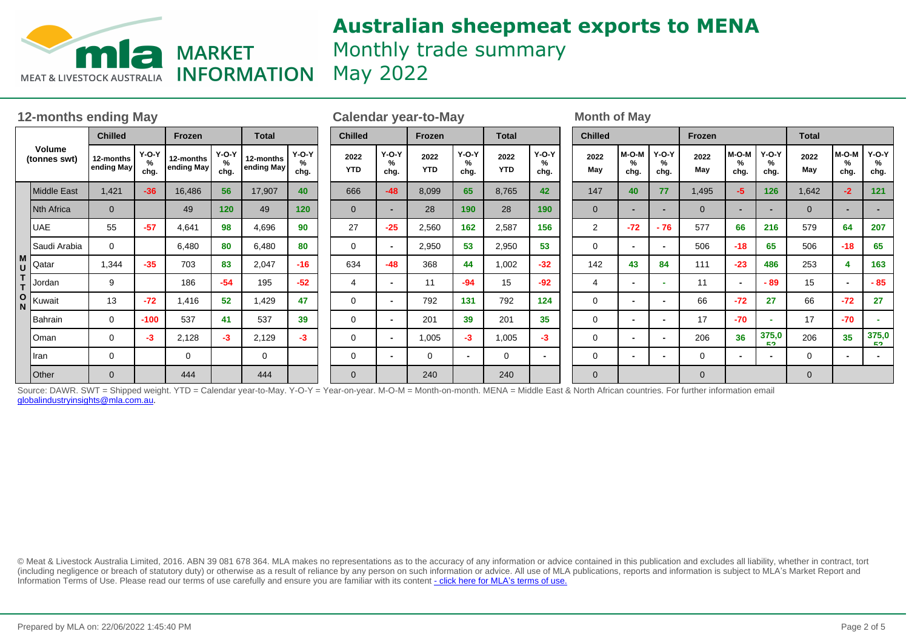

# **Australian sheepmeat exports to MENA** Monthly trade summary **INFORMATION** May 2022

| <b>12-months ending May</b>   |                    |                         |                      |                         |                         |                         | <b>Calendar year-to-May</b> |                    |                      |                    |                         |                    |                          | <b>Month of May</b> |                |                          |                          |                |                    |                          |              |                                |                          |
|-------------------------------|--------------------|-------------------------|----------------------|-------------------------|-------------------------|-------------------------|-----------------------------|--------------------|----------------------|--------------------|-------------------------|--------------------|--------------------------|---------------------|----------------|--------------------------|--------------------------|----------------|--------------------|--------------------------|--------------|--------------------------------|--------------------------|
| <b>Volume</b><br>(tonnes swt) |                    | <b>Chilled</b>          |                      | Frozen                  |                         | <b>Total</b>            |                             | <b>Chilled</b>     |                      |                    | Frozen                  |                    | <b>Total</b>             |                     | <b>Chilled</b> |                          |                          | Frozen         |                    |                          | <b>Total</b> |                                |                          |
|                               |                    | 12-months<br>ending May | $Y-O-Y$<br>%<br>chg. | 12-months<br>ending May | $Y-O-Y$<br>$\%$<br>chg. | 12-months<br>ending May | $Y-O-Y$<br>$\%$<br>chg.     | 2022<br><b>YTD</b> | $Y-O-Y$<br>%<br>chg. | 2022<br><b>YTD</b> | $Y-O-Y$<br>$\%$<br>chg. | 2022<br><b>YTD</b> | $Y-O-Y$<br>$\%$<br>chg.  |                     | 2022<br>May    | $M-O-M$<br>%<br>chg.     | $Y-O-Y$<br>%<br>chg.     | 2022<br>May    | M-O-M<br>%<br>chg. | $Y-O-Y$<br>℅<br>chg.     | 2022<br>May  | M-O-M<br>$\frac{9}{6}$<br>chg. | $Y-O-Y$<br>%<br>chg.     |
|                               | <b>Middle East</b> | 1,421                   | $-36$                | 16,486                  | 56                      | 17,907                  | 40                          | 666                | $-48$                | 8,099              | 65                      | 8,765              | 42                       |                     | 147            | 40                       | 77                       | 1,495          | -5                 | 126                      | 1,642        | $-2$                           | 121                      |
|                               | <b>Nth Africa</b>  | $\Omega$                |                      | 49                      | 120                     | 49                      | 120                         | $\Omega$           | $\sim$               | 28                 | 190                     | 28                 | 190                      |                     | $\Omega$       | -                        | $\overline{\phantom{0}}$ | $\overline{0}$ |                    | $\overline{\phantom{0}}$ | $\Omega$     |                                |                          |
|                               | <b>UAE</b>         | 55                      | $-57$                | 4,641                   | 98                      | 4,696                   | 90                          | 27                 | $-25$                | 2,560              | 162                     | 2,587              | 156                      |                     | $\overline{2}$ | $-72$                    | $-76$                    | 577            | 66                 | 216                      | 579          | 64                             | 207                      |
|                               | Saudi Arabia       | $\Omega$                |                      | 6.480                   | 80                      | 6,480                   | 80                          | 0                  | $\sim$               | 2,950              | 53                      | 2,950              | 53                       |                     | $\Omega$       | $\blacksquare$           | $\overline{\phantom{0}}$ | 506            | $-18$              | 65                       | 506          | $-18$                          | 65                       |
| M<br>U                        | Qatar              | 1,344                   | $-35$                | 703                     | 83                      | 2,047                   | $-16$                       | 634                | $-48$                | 368                | 44                      | 1,002              | $-32$                    |                     | 142            | 43                       | 84                       | 111            | $-23$              | 486                      | 253          |                                | 163                      |
|                               | Jordan             | 9                       |                      | 186                     | $-54$                   | 195                     | $-52$                       | 4                  | $\blacksquare$       | 11                 | $-94$                   | 15                 | $-92$                    |                     | 4              | $\overline{\phantom{a}}$ | $\sim$                   | 11             |                    | $-89$                    | 15           |                                | $-85$                    |
| $\mathbf{o}$<br>N             | Kuwait             | 13                      | $-72$                | 1,416                   | 52                      | 1,429                   | 47                          | $\mathbf 0$        | $\sim$               | 792                | 131                     | 792                | 124                      |                     | 0              | $\overline{\phantom{a}}$ | $\overline{\phantom{0}}$ | 66             | $-72$              | 27                       | 66           | $-72$                          | 27                       |
|                               | <b>Bahrain</b>     | $\mathbf 0$             | $-100$               | 537                     | 41                      | 537                     | 39                          | 0                  | $\sim$               | 201                | 39                      | 201                | 35                       |                     | 0              | $\overline{\phantom{0}}$ | $\blacksquare$           | 17             | $-70$              | <b>м.</b>                | 17           | $-70$                          | $\sim$                   |
|                               | Oman               | 0                       | $-3$                 | 2,128                   | $-3$                    | 2,129                   | $-3$                        | $\mathbf 0$        | $\blacksquare$       | 1,005              | $-3$                    | 1,005              | $-3$                     |                     | 0              | $\blacksquare$           | $\overline{\phantom{0}}$ | 206            | 36                 | 375,0<br>E9.             | 206          | 35                             | 375,0<br>EO.             |
|                               | Iran               | 0                       |                      | $\Omega$                |                         | 0                       |                             | 0                  | $\sim$               | 0                  | $\blacksquare$          | 0                  | $\overline{\phantom{a}}$ |                     | 0              | $\overline{\phantom{0}}$ | $\overline{\phantom{0}}$ | $\mathbf 0$    |                    | $\blacksquare$           | 0            |                                | $\overline{\phantom{0}}$ |
|                               | Other              | $\mathbf 0$             |                      | 444                     |                         | 444                     |                             | $\mathbf 0$        |                      | 240                |                         | 240                |                          |                     | $\mathbf 0$    |                          |                          | 0              |                    |                          | $\mathbf 0$  |                                |                          |

Source: DAWR. SWT = Shipped weight. YTD = Calendar year-to-May. Y-O-Y = Year-on-year. M-O-M = Month-on-month. MENA = Middle East & North African countries. For further information email globalindustryinsights@mla.com.au.

© Meat & Livestock Australia Limited, 2016. ABN 39 081 678 364. MLA makes no representations as to the accuracy of any information or advice contained in this publication and excludes all liability, whether in contract, tort (including negligence or breach of statutory duty) or otherwise as a result of reliance by any person on such information or advice. All use of MLA publications, reports and information is subject to MLA's Market Report an Information Terms of Use. Please read our terms of use carefully and ensure you are familiar with its content [- click here for MLA](http://www.mla.com.au/files/edae0364-a185-4a6f-9dff-a42700d1463a/MLA-Market-Report-and-Information-Terms-of-use-Dec-2014.pdf)'[s terms of use.](http://www.mla.com.au/files/edae0364-a185-4a6f-9dff-a42700d1463a/MLA-Market-Report-and-Information-Terms-of-use-Dec-2014.pdf)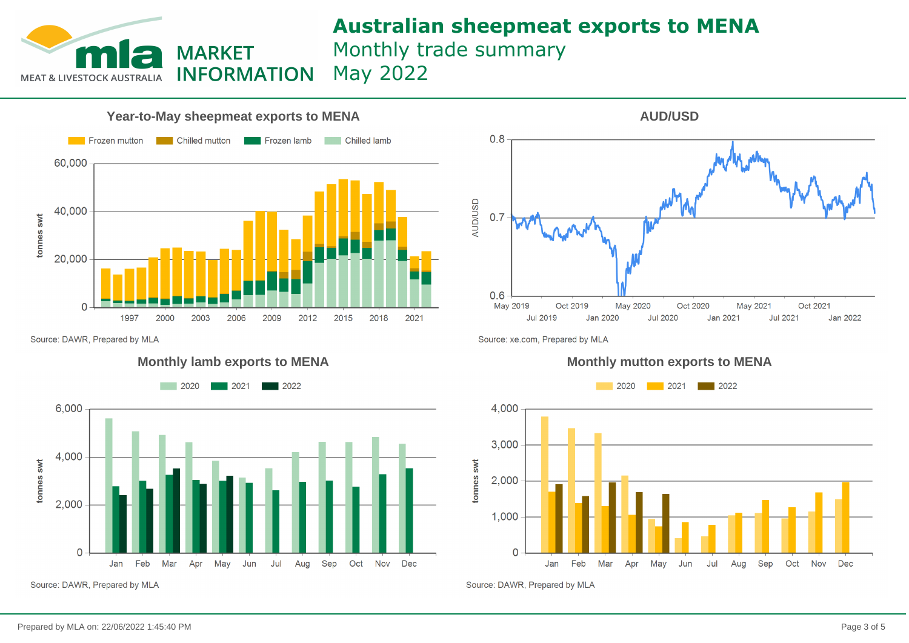# **Australian sheepmeat exports to MENA** Monthly trade summary May 2022



**MARKET** 

**INFORMATION** 

Source: DAWR, Prepared by MLA

**MEAT & LIVESTOCK AUSTRALIA** 

#### **Monthly lamb exports to MENA**



Source: DAWR, Prepared by MLA



Source: xe.com, Prepared by MLA

#### **Monthly mutton exports to MENA**



Source: DAWR, Prepared by MLA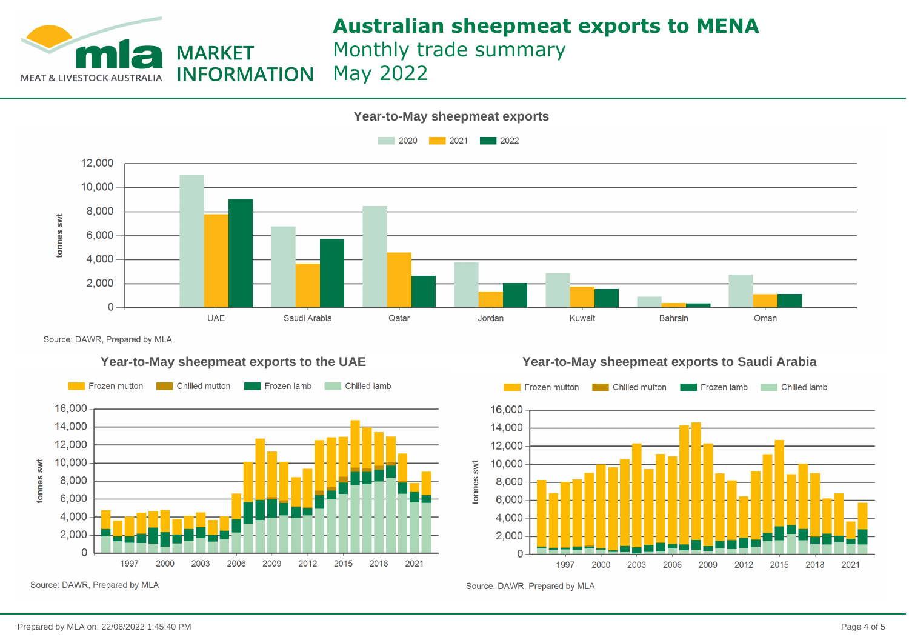

# **Australian sheepmeat exports to MENA**

Monthly trade summary May 2022



Source: DAWR, Prepared by MLA



**Year-to-May sheepmeat exports to the UAE Year-to-May sheepmeat exports to Saudi Arabia**



Source: DAWR, Prepared by MLA